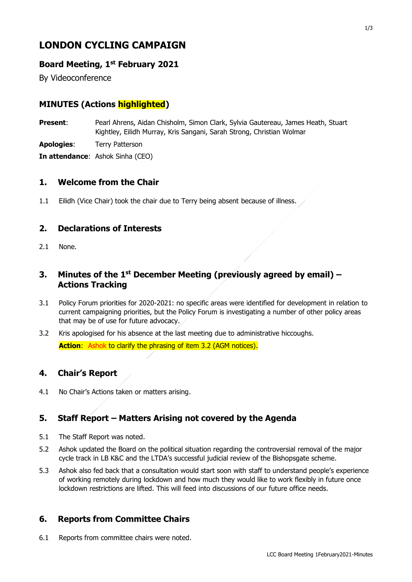# **LONDON CYCLING CAMPAIGN**

## **Board Meeting, 1st February 2021**

By Videoconference

# **MINUTES (Actions highlighted)**

**Present**: Pearl Ahrens, Aidan Chisholm, Simon Clark, Sylvia Gautereau, James Heath, Stuart Kightley, Eilidh Murray, Kris Sangani, Sarah Strong, Christian Wolmar

**Apologies**: Terry Patterson

**In attendance**: Ashok Sinha (CEO)

#### **1. Welcome from the Chair**

1.1 Eilidh (Vice Chair) took the chair due to Terry being absent because of illness.

### **2. Declarations of Interests**

2.1 None.

### **3. Minutes of the 1 st December Meeting (previously agreed by email) – Actions Tracking**

- 3.1 Policy Forum priorities for 2020-2021: no specific areas were identified for development in relation to current campaigning priorities, but the Policy Forum is investigating a number of other policy areas that may be of use for future advocacy.
- 3.2 Kris apologised for his absence at the last meeting due to administrative hiccoughs. **Action:** Ashok to clarify the phrasing of item 3.2 (AGM notices).

#### **4. Chair's Report**

4.1 No Chair's Actions taken or matters arising.

## **5. Staff Report – Matters Arising not covered by the Agenda**

- 5.1 The Staff Report was noted.
- 5.2 Ashok updated the Board on the political situation regarding the controversial removal of the major cycle track in LB K&C and the LTDA's successful judicial review of the Bishopsgate scheme.
- 5.3 Ashok also fed back that a consultation would start soon with staff to understand people's experience of working remotely during lockdown and how much they would like to work flexibly in future once lockdown restrictions are lifted. This will feed into discussions of our future office needs.

## **6. Reports from Committee Chairs**

6.1 Reports from committee chairs were noted.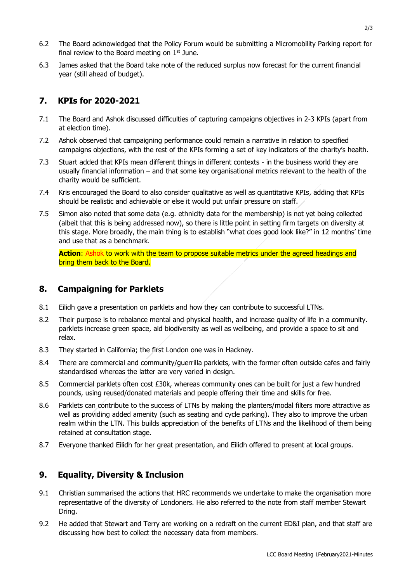- 6.2 The Board acknowledged that the Policy Forum would be submitting a Micromobility Parking report for final review to the Board meeting on  $1<sup>st</sup>$  June.
- 6.3 James asked that the Board take note of the reduced surplus now forecast for the current financial year (still ahead of budget).

### **7. KPIs for 2020-2021**

- 7.1 The Board and Ashok discussed difficulties of capturing campaigns objectives in 2-3 KPIs (apart from at election time).
- 7.2 Ashok observed that campaigning performance could remain a narrative in relation to specified campaigns objections, with the rest of the KPIs forming a set of key indicators of the charity's health.
- 7.3 Stuart added that KPIs mean different things in different contexts in the business world they are usually financial information – and that some key organisational metrics relevant to the health of the charity would be sufficient.
- 7.4 Kris encouraged the Board to also consider qualitative as well as quantitative KPIs, adding that KPIs should be realistic and achievable or else it would put unfair pressure on staff.
- 7.5 Simon also noted that some data (e.g. ethnicity data for the membership) is not yet being collected (albeit that this is being addressed now), so there is little point in setting firm targets on diversity at this stage. More broadly, the main thing is to establish "what does good look like?" in 12 months' time and use that as a benchmark.

**Action**: Ashok to work with the team to propose suitable metrics under the agreed headings and bring them back to the Board.

#### **8. Campaigning for Parklets**

- 8.1 Eilidh gave a presentation on parklets and how they can contribute to successful LTNs.
- 8.2 Their purpose is to rebalance mental and physical health, and increase quality of life in a community. parklets increase green space, aid biodiversity as well as wellbeing, and provide a space to sit and relax.
- 8.3 They started in California; the first London one was in Hackney.
- 8.4 There are commercial and community/guerrilla parklets, with the former often outside cafes and fairly standardised whereas the latter are very varied in design.
- 8.5 Commercial parklets often cost £30k, whereas community ones can be built for just a few hundred pounds, using reused/donated materials and people offering their time and skills for free.
- 8.6 Parklets can contribute to the success of LTNs by making the planters/modal filters more attractive as well as providing added amenity (such as seating and cycle parking). They also to improve the urban realm within the LTN. This builds appreciation of the benefits of LTNs and the likelihood of them being retained at consultation stage.
- 8.7 Everyone thanked Eilidh for her great presentation, and Eilidh offered to present at local groups.

#### **9. Equality, Diversity & Inclusion**

- 9.1 Christian summarised the actions that HRC recommends we undertake to make the organisation more representative of the diversity of Londoners. He also referred to the note from staff member Stewart Dring.
- 9.2 He added that Stewart and Terry are working on a redraft on the current ED&I plan, and that staff are discussing how best to collect the necessary data from members.